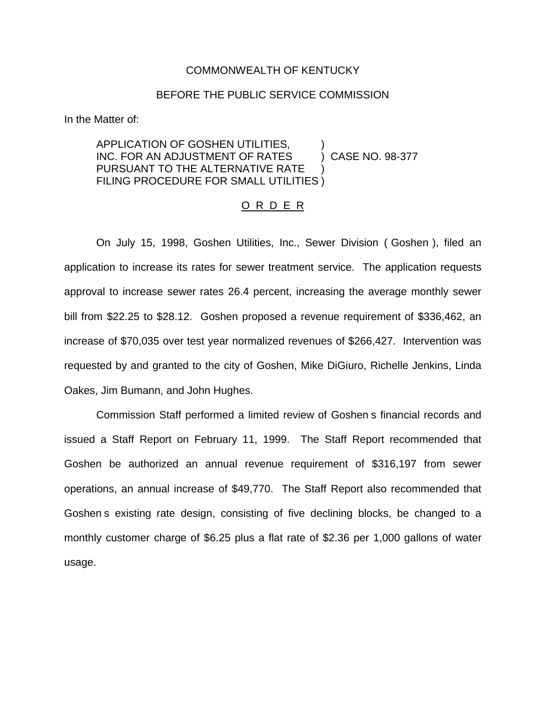## COMMONWEALTH OF KENTUCKY

## BEFORE THE PUBLIC SERVICE COMMISSION

In the Matter of:

## APPLICATION OF GOSHEN UTILITIES, ) INC. FOR AN ADJUSTMENT OF RATES (2005) CASE NO. 98-377 PURSUANT TO THE ALTERNATIVE RATE FILING PROCEDURE FOR SMALL UTILITIES )

## O R D E R

On July 15, 1998, Goshen Utilities, Inc., Sewer Division ( Goshen ), filed an application to increase its rates for sewer treatment service. The application requests approval to increase sewer rates 26.4 percent, increasing the average monthly sewer bill from \$22.25 to \$28.12. Goshen proposed a revenue requirement of \$336,462, an increase of \$70,035 over test year normalized revenues of \$266,427. Intervention was requested by and granted to the city of Goshen, Mike DiGiuro, Richelle Jenkins, Linda Oakes, Jim Bumann, and John Hughes.

Commission Staff performed a limited review of Goshen s financial records and issued a Staff Report on February 11, 1999. The Staff Report recommended that Goshen be authorized an annual revenue requirement of \$316,197 from sewer operations, an annual increase of \$49,770. The Staff Report also recommended that Goshen s existing rate design, consisting of five declining blocks, be changed to a monthly customer charge of \$6.25 plus a flat rate of \$2.36 per 1,000 gallons of water usage.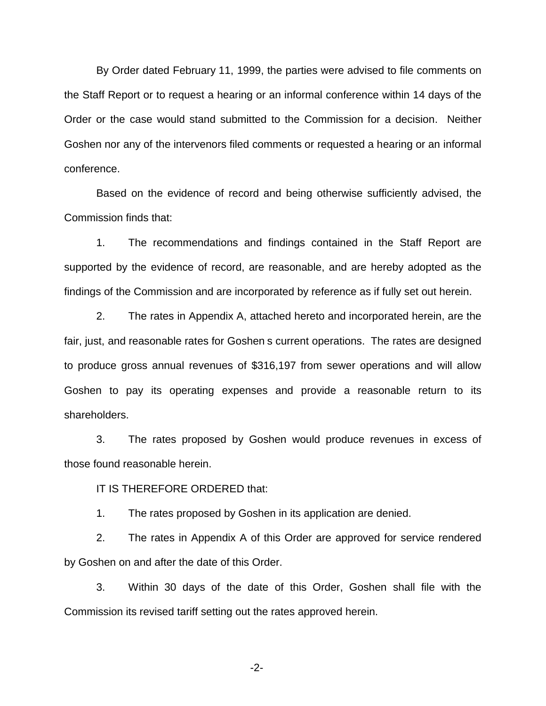By Order dated February 11, 1999, the parties were advised to file comments on the Staff Report or to request a hearing or an informal conference within 14 days of the Order or the case would stand submitted to the Commission for a decision. Neither Goshen nor any of the intervenors filed comments or requested a hearing or an informal conference.

Based on the evidence of record and being otherwise sufficiently advised, the Commission finds that:

1. The recommendations and findings contained in the Staff Report are supported by the evidence of record, are reasonable, and are hereby adopted as the findings of the Commission and are incorporated by reference as if fully set out herein.

2. The rates in Appendix A, attached hereto and incorporated herein, are the fair, just, and reasonable rates for Goshen s current operations. The rates are designed to produce gross annual revenues of \$316,197 from sewer operations and will allow Goshen to pay its operating expenses and provide a reasonable return to its shareholders.

3. The rates proposed by Goshen would produce revenues in excess of those found reasonable herein.

IT IS THEREFORE ORDERED that:

1. The rates proposed by Goshen in its application are denied.

2. The rates in Appendix A of this Order are approved for service rendered by Goshen on and after the date of this Order.

3. Within 30 days of the date of this Order, Goshen shall file with the Commission its revised tariff setting out the rates approved herein.

-2-